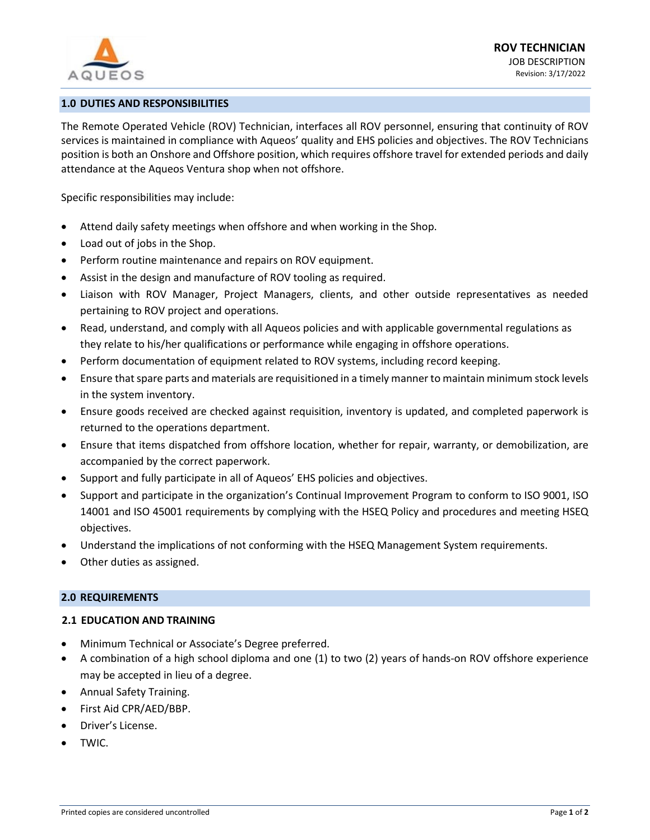

# **1.0 DUTIES AND RESPONSIBILITIES**

The Remote Operated Vehicle (ROV) Technician, interfaces all ROV personnel, ensuring that continuity of ROV services is maintained in compliance with Aqueos' quality and EHS policies and objectives. The ROV Technicians position is both an Onshore and Offshore position, which requires offshore travel for extended periods and daily attendance at the Aqueos Ventura shop when not offshore.

Specific responsibilities may include:

- Attend daily safety meetings when offshore and when working in the Shop.
- Load out of jobs in the Shop.
- Perform routine maintenance and repairs on ROV equipment.
- Assist in the design and manufacture of ROV tooling as required.
- Liaison with ROV Manager, Project Managers, clients, and other outside representatives as needed pertaining to ROV project and operations.
- Read, understand, and comply with all Aqueos policies and with applicable governmental regulations as they relate to his/her qualifications or performance while engaging in offshore operations.
- Perform documentation of equipment related to ROV systems, including record keeping.
- Ensure that spare parts and materials are requisitioned in a timely manner to maintain minimum stock levels in the system inventory.
- Ensure goods received are checked against requisition, inventory is updated, and completed paperwork is returned to the operations department.
- Ensure that items dispatched from offshore location, whether for repair, warranty, or demobilization, are accompanied by the correct paperwork.
- Support and fully participate in all of Aqueos' EHS policies and objectives.
- Support and participate in the organization's Continual Improvement Program to conform to ISO 9001, ISO 14001 and ISO 45001 requirements by complying with the HSEQ Policy and procedures and meeting HSEQ objectives.
- Understand the implications of not conforming with the HSEQ Management System requirements.
- Other duties as assigned.

#### **2.0 REQUIREMENTS**

# **2.1 EDUCATION AND TRAINING**

- Minimum Technical or Associate's Degree preferred.
- A combination of a high school diploma and one (1) to two (2) years of hands-on ROV offshore experience may be accepted in lieu of a degree.
- Annual Safety Training.
- First Aid CPR/AED/BBP.
- Driver's License.
- TWIC.